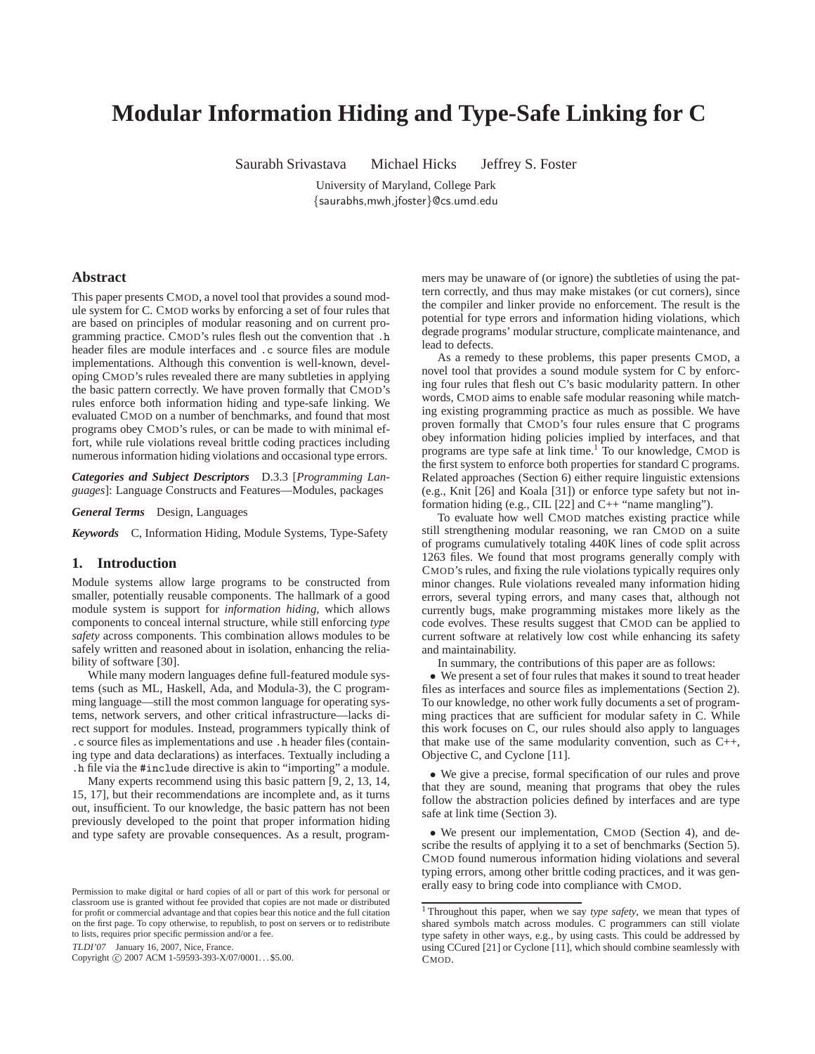# **Modular Information Hiding and Type-Safe Linking for C**

Saurabh Srivastava Michael Hicks Jeffrey S. Foster

University of Maryland, College Park {saurabhs,mwh,jfoster}@cs.umd.edu

# **Abstract**

This paper presents CMOD, a novel tool that provides a sound module system for C. CMOD works by enforcing a set of four rules that are based on principles of modular reasoning and on current programming practice. CMOD's rules flesh out the convention that .h header files are module interfaces and .c source files are module implementations. Although this convention is well-known, developing CMOD's rules revealed there are many subtleties in applying the basic pattern correctly. We have proven formally that CMOD's rules enforce both information hiding and type-safe linking. We evaluated CMOD on a number of benchmarks, and found that most programs obey CMOD's rules, or can be made to with minimal effort, while rule violations reveal brittle coding practices including numerous information hiding violations and occasional type errors.

*Categories and Subject Descriptors* D.3.3 [*Programming Languages*]: Language Constructs and Features—Modules, packages

*General Terms* Design, Languages

*Keywords* C, Information Hiding, Module Systems, Type-Safety

## **1. Introduction**

Module systems allow large programs to be constructed from smaller, potentially reusable components. The hallmark of a good module system is support for *information hiding*, which allows components to conceal internal structure, while still enforcing *type safety* across components. This combination allows modules to be safely written and reasoned about in isolation, enhancing the reliability of software [30].

While many modern languages define full-featured module systems (such as ML, Haskell, Ada, and Modula-3), the C programming language—still the most common language for operating systems, network servers, and other critical infrastructure—lacks direct support for modules. Instead, programmers typically think of .c source files as implementations and use .h header files (containing type and data declarations) as interfaces. Textually including a .h file via the #include directive is akin to "importing" a module.

Many experts recommend using this basic pattern [9, 2, 13, 14, 15, 17], but their recommendations are incomplete and, as it turns out, insufficient. To our knowledge, the basic pattern has not been previously developed to the point that proper information hiding and type safety are provable consequences. As a result, program-

TLDI'07 January 16, 2007, Nice, France.

Copyright © 2007 ACM 1-59593-393-X/07/0001... \$5.00.

mers may be unaware of (or ignore) the subtleties of using the pattern correctly, and thus may make mistakes (or cut corners), since the compiler and linker provide no enforcement. The result is the potential for type errors and information hiding violations, which degrade programs' modular structure, complicate maintenance, and lead to defects.

As a remedy to these problems, this paper presents CMOD, a novel tool that provides a sound module system for C by enforcing four rules that flesh out C's basic modularity pattern. In other words, CMOD aims to enable safe modular reasoning while matching existing programming practice as much as possible. We have proven formally that CMOD's four rules ensure that C programs obey information hiding policies implied by interfaces, and that programs are type safe at link time.<sup>1</sup> To our knowledge, CMOD is the first system to enforce both properties for standard C programs. Related approaches (Section 6) either require linguistic extensions (e.g., Knit [26] and Koala [31]) or enforce type safety but not information hiding (e.g., CIL [22] and C++ "name mangling").

To evaluate how well CMOD matches existing practice while still strengthening modular reasoning, we ran CMOD on a suite of programs cumulatively totaling 440K lines of code split across 1263 files. We found that most programs generally comply with CMOD's rules, and fixing the rule violations typically requires only minor changes. Rule violations revealed many information hiding errors, several typing errors, and many cases that, although not currently bugs, make programming mistakes more likely as the code evolves. These results suggest that CMOD can be applied to current software at relatively low cost while enhancing its safety and maintainability.

In summary, the contributions of this paper are as follows:

• We present a set of four rules that makes it sound to treat header files as interfaces and source files as implementations (Section 2). To our knowledge, no other work fully documents a set of programming practices that are sufficient for modular safety in C. While this work focuses on C, our rules should also apply to languages that make use of the same modularity convention, such as C++, Objective C, and Cyclone [11].

• We give a precise, formal specification of our rules and prove that they are sound, meaning that programs that obey the rules follow the abstraction policies defined by interfaces and are type safe at link time (Section 3).

• We present our implementation, CMOD (Section 4), and describe the results of applying it to a set of benchmarks (Section 5). CMOD found numerous information hiding violations and several typing errors, among other brittle coding practices, and it was generally easy to bring code into compliance with CMOD.

Permission to make digital or hard copies of all or part of this work for personal or classroom use is granted without fee provided that copies are not made or distributed for profit or commercial advantage and that copies bear this notice and the full citation on the first page. To copy otherwise, to republish, to post on servers or to redistribute to lists, requires prior specific permission and/or a fee.

<sup>1</sup> Throughout this paper, when we say *type safety*, we mean that types of shared symbols match across modules. C programmers can still violate type safety in other ways, e.g., by using casts. This could be addressed by using CCured [21] or Cyclone [11], which should combine seamlessly with CMOD.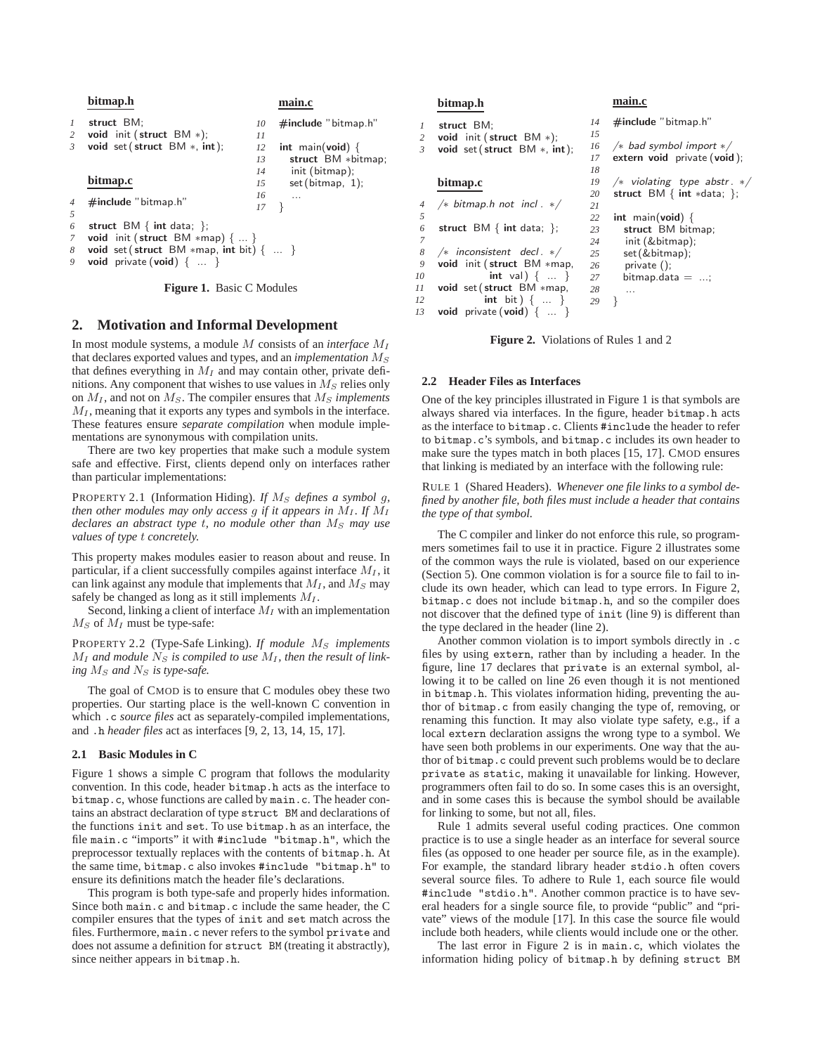|                     | bitmap.h                                          |    | main.c                  |  |  |  |  |  |  |
|---------------------|---------------------------------------------------|----|-------------------------|--|--|--|--|--|--|
| $\mathcal{I}$       | struct BM:                                        | 10 | $\#$ include "bitmap.h" |  |  |  |  |  |  |
| 2                   | void init (struct $BM *$ );                       | 11 |                         |  |  |  |  |  |  |
| $\mathfrak{Z}$      | void set (struct $BM *$ , int);                   | 12 | int main(void) $\{$     |  |  |  |  |  |  |
|                     |                                                   | 13 | struct BM *bitmap:      |  |  |  |  |  |  |
|                     |                                                   | 14 | init (bitmap);          |  |  |  |  |  |  |
|                     | bitmap.c                                          | 15 | set(bitmap, 1);         |  |  |  |  |  |  |
|                     |                                                   | 16 | $\cdots$                |  |  |  |  |  |  |
| $\overline{4}$<br>5 | $\#$ include "bitmap.h"                           | 17 |                         |  |  |  |  |  |  |
| 6                   | struct $BM \{ int data; \}$ ;                     |    |                         |  |  |  |  |  |  |
| 7                   | <b>void</b> init (struct $BM *map)$ { }           |    |                         |  |  |  |  |  |  |
| 8                   | void set (struct BM *map, int bit) $\{ \dots \}$  |    |                         |  |  |  |  |  |  |
| 9                   | <b>void</b> private ( <b>void</b> ) $\{ \dots \}$ |    |                         |  |  |  |  |  |  |

**Figure 1.** Basic C Modules

# **2. Motivation and Informal Development**

In most module systems, a module M consists of an *interface*  $M_I$ that declares exported values and types, and an *implementation*  $M_S$ that defines everything in  $M_I$  and may contain other, private definitions. Any component that wishes to use values in  $M<sub>S</sub>$  relies only on  $M_I$ , and not on  $M_S$ . The compiler ensures that  $M_S$  *implements*  $M_I$ , meaning that it exports any types and symbols in the interface. These features ensure *separate compilation* when module implementations are synonymous with compilation units.

There are two key properties that make such a module system safe and effective. First, clients depend only on interfaces rather than particular implementations:

PROPERTY 2.1 (Information Hiding). *If*  $M_S$  *defines a symbol g, then other modules may only access g if it appears in*  $M_I$ *. If*  $M_I$ *declares an abstract type t, no module other than*  $M<sub>S</sub>$  *may use values of type* t *concretely.*

This property makes modules easier to reason about and reuse. In particular, if a client successfully compiles against interface  $M_I$ , it can link against any module that implements that  $M_I$ , and  $M_S$  may safely be changed as long as it still implements  $M_I$ .

Second, linking a client of interface  $M_I$  with an implementation  $M<sub>S</sub>$  of  $M<sub>I</sub>$  must be type-safe:

PROPERTY 2.2 (Type-Safe Linking). *If module*  $M_S$  *implements*  $M_I$  and module  $N_S$  is compiled to use  $M_I$ , then the result of link $ing\ M_S$  *and*  $N_S$  *is type-safe.* 

The goal of CMOD is to ensure that C modules obey these two properties. Our starting place is the well-known C convention in which .c *source files* act as separately-compiled implementations, and .h *header files* act as interfaces [9, 2, 13, 14, 15, 17].

#### **2.1 Basic Modules in C**

Figure 1 shows a simple C program that follows the modularity convention. In this code, header bitmap.h acts as the interface to bitmap.c, whose functions are called by main.c. The header contains an abstract declaration of type struct BM and declarations of the functions init and set. To use bitmap.h as an interface, the file main.c "imports" it with #include "bitmap.h", which the preprocessor textually replaces with the contents of bitmap.h. At the same time, bitmap.c also invokes #include "bitmap.h" to ensure its definitions match the header file's declarations.

This program is both type-safe and properly hides information. Since both main.c and bitmap.c include the same header, the C compiler ensures that the types of init and set match across the files. Furthermore, main.c never refers to the symbol private and does not assume a definition for struct BM (treating it abstractly), since neither appears in bitmap.h.

# **bitmap.h**

```
1 struct BM;
2 void init (struct BM ∗);
3 void set ( struct BM ∗, int);
    bitmap.c
4 /∗ bitmap.h not incl . ∗/
5
6 struct BM { int data; };
7
8 /* inconsistent decl. */<br>9 void init (struct BM *m.
    void init (struct BM ∗map,
10 int val) { ... }
                                    15
                                    18
                                    21
```
**Figure 2.** Violations of Rules 1 and 2

## **2.2 Header Files as Interfaces**

*11* void set (struct BM ∗map, *12* **int** bit) { ... } *13* void private (void) { ... }

One of the key principles illustrated in Figure 1 is that symbols are always shared via interfaces. In the figure, header bitmap.h acts as the interface to bitmap.c. Clients #include the header to refer to bitmap.c's symbols, and bitmap.c includes its own header to make sure the types match in both places [15, 17]. CMOD ensures that linking is mediated by an interface with the following rule:

RULE 1 (Shared Headers). *Whenever one file links to a symbol defined by another file, both files must include a header that contains the type of that symbol.*

The C compiler and linker do not enforce this rule, so programmers sometimes fail to use it in practice. Figure 2 illustrates some of the common ways the rule is violated, based on our experience (Section 5). One common violation is for a source file to fail to include its own header, which can lead to type errors. In Figure 2, bitmap.c does not include bitmap.h, and so the compiler does not discover that the defined type of init (line 9) is different than the type declared in the header (line 2).

Another common violation is to import symbols directly in .c files by using extern, rather than by including a header. In the figure, line 17 declares that private is an external symbol, allowing it to be called on line 26 even though it is not mentioned in bitmap.h. This violates information hiding, preventing the author of bitmap.c from easily changing the type of, removing, or renaming this function. It may also violate type safety, e.g., if a local extern declaration assigns the wrong type to a symbol. We have seen both problems in our experiments. One way that the author of bitmap.c could prevent such problems would be to declare private as static, making it unavailable for linking. However, programmers often fail to do so. In some cases this is an oversight, and in some cases this is because the symbol should be available for linking to some, but not all, files.

Rule 1 admits several useful coding practices. One common practice is to use a single header as an interface for several source files (as opposed to one header per source file, as in the example). For example, the standard library header stdio.h often covers several source files. To adhere to Rule 1, each source file would #include "stdio.h". Another common practice is to have several headers for a single source file, to provide "public" and "private" views of the module [17]. In this case the source file would include both headers, while clients would include one or the other.

The last error in Figure 2 is in main.c, which violates the information hiding policy of bitmap.h by defining struct BM

# **main.c**

```
14 #include "bitmap.h"
16 /* bad symbol import */<br>17 extern void private (void
      extern void private (void );
19 /* violating type abstr. */<br>20 struct BM { int *data: }:
      20 struct BM { int ∗data; };
22 int main(void) {
23 struct BM bitmap;
24 init (&bitmap);
25 set(&bitmap);
26 private ();<br>27 bitmap.dat
        bitmap.data = ...;
28 ...
29 }
```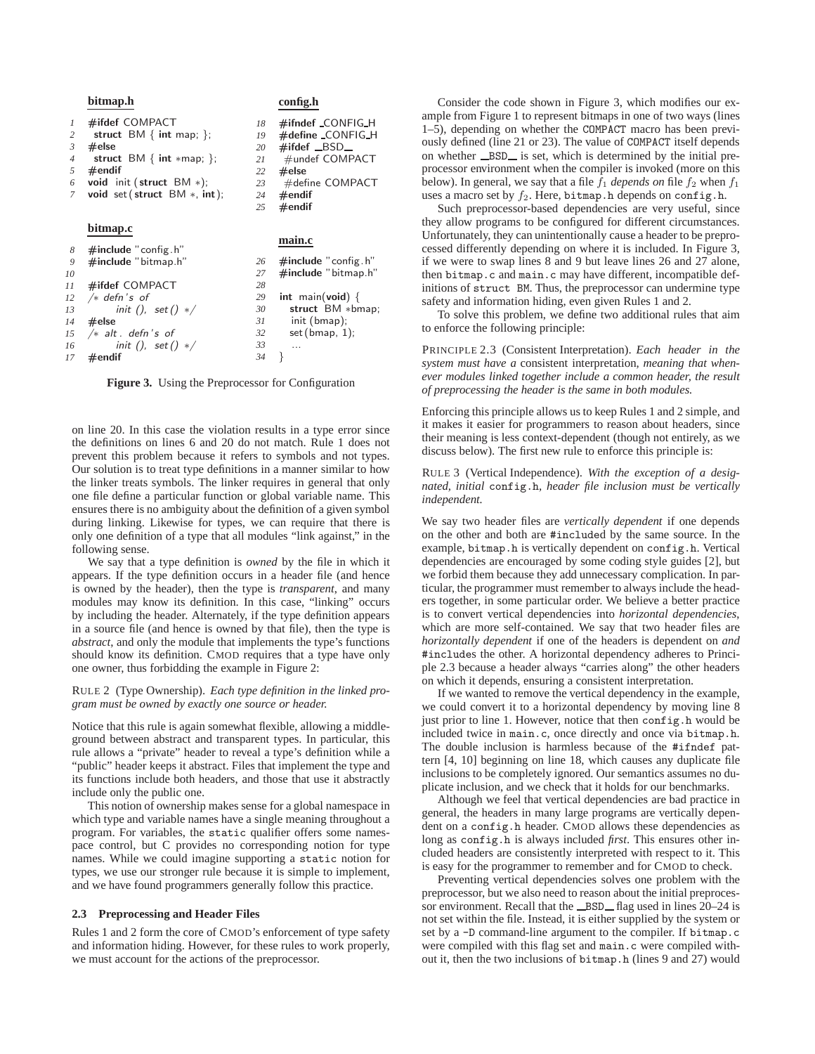|                | bitmap.h                        |    | config.h                      |
|----------------|---------------------------------|----|-------------------------------|
| 1              | #ifdef COMPACT                  | 18 | $\#$ ifndef $\angle$ CONFIG H |
| 2              | struct $BM \{ int map; \}$ ;    | 19 | #define CONFIG_H              |
| $\mathfrak{Z}$ | $#$ else                        | 20 | $\#$ ifdef $\_BSD$            |
| $\overline{4}$ | struct $BM \{ int *map; \}$ ;   | 21 | #undef COMPACT                |
| 5              | $\#$ endif                      | 22 | #else                         |
| 6              | void init (struct $BM *$ );     | 23 | #define COMPACT               |
| $\mathcal{I}$  | void set (struct $BM *$ , int); | 24 | $\#$ endif                    |
|                |                                 | 25 | $#$ endif                     |
|                | bitmap.c                        |    |                               |
| 8              | $\#$ include "config.h"         |    | main.c                        |
| 9              | $\#$ include "bitmap.h"         | 26 | $\#$ include "config.h"       |
| 10             |                                 | 27 | #include "bitmap.h"           |
| 11             | #ifdef COMPACT                  | 28 |                               |
| 12             | $/*$ defn's of                  | 29 | int main(void) $\{$           |
| 13             | init (), set () $*/$            | 30 | struct $BM * bmap$ ;          |
| 14             | $#$ else                        | 31 | $init$ (bmap);                |
| 15             | $/* alt. defn's of$             | 32 | set(bmap, 1);                 |
| 16             | init (), set () $*/$            | 33 | .                             |
| 17             | $#$ endif                       | 34 |                               |

**Figure 3.** Using the Preprocessor for Configuration

on line 20. In this case the violation results in a type error since the definitions on lines 6 and 20 do not match. Rule 1 does not prevent this problem because it refers to symbols and not types. Our solution is to treat type definitions in a manner similar to how the linker treats symbols. The linker requires in general that only one file define a particular function or global variable name. This ensures there is no ambiguity about the definition of a given symbol during linking. Likewise for types, we can require that there is only one definition of a type that all modules "link against," in the following sense.

We say that a type definition is *owned* by the file in which it appears. If the type definition occurs in a header file (and hence is owned by the header), then the type is *transparent*, and many modules may know its definition. In this case, "linking" occurs by including the header. Alternately, if the type definition appears in a source file (and hence is owned by that file), then the type is *abstract*, and only the module that implements the type's functions should know its definition. CMOD requires that a type have only one owner, thus forbidding the example in Figure 2:

#### RULE 2 (Type Ownership). *Each type definition in the linked program must be owned by exactly one source or header.*

Notice that this rule is again somewhat flexible, allowing a middleground between abstract and transparent types. In particular, this rule allows a "private" header to reveal a type's definition while a "public" header keeps it abstract. Files that implement the type and its functions include both headers, and those that use it abstractly include only the public one.

This notion of ownership makes sense for a global namespace in which type and variable names have a single meaning throughout a program. For variables, the static qualifier offers some namespace control, but C provides no corresponding notion for type names. While we could imagine supporting a static notion for types, we use our stronger rule because it is simple to implement, and we have found programmers generally follow this practice.

### **2.3 Preprocessing and Header Files**

Rules 1 and 2 form the core of CMOD's enforcement of type safety and information hiding. However, for these rules to work properly, we must account for the actions of the preprocessor.

Consider the code shown in Figure 3, which modifies our example from Figure 1 to represent bitmaps in one of two ways (lines 1–5), depending on whether the COMPACT macro has been previously defined (line 21 or 23). The value of COMPACT itself depends on whether  $\text{ }$  \_BSD\_ is set, which is determined by the initial preprocessor environment when the compiler is invoked (more on this below). In general, we say that a file  $f_1$  *depends on* file  $f_2$  when  $f_1$ uses a macro set by  $f_2$ . Here, bitmap. h depends on config.h.

Such preprocessor-based dependencies are very useful, since they allow programs to be configured for different circumstances. Unfortunately, they can unintentionally cause a header to be preprocessed differently depending on where it is included. In Figure 3, if we were to swap lines 8 and 9 but leave lines 26 and 27 alone, then bitmap.c and main.c may have different, incompatible definitions of struct BM. Thus, the preprocessor can undermine type safety and information hiding, even given Rules 1 and 2.

To solve this problem, we define two additional rules that aim to enforce the following principle:

PRINCIPLE 2.3 (Consistent Interpretation). *Each header in the system must have a* consistent interpretation*, meaning that whenever modules linked together include a common header, the result of preprocessing the header is the same in both modules.*

Enforcing this principle allows us to keep Rules 1 and 2 simple, and it makes it easier for programmers to reason about headers, since their meaning is less context-dependent (though not entirely, as we discuss below). The first new rule to enforce this principle is:

RULE 3 (Vertical Independence). *With the exception of a designated, initial* config.h*, header file inclusion must be vertically independent.*

We say two header files are *vertically dependent* if one depends on the other and both are #included by the same source. In the example, bitmap.h is vertically dependent on config.h. Vertical dependencies are encouraged by some coding style guides [2], but we forbid them because they add unnecessary complication. In particular, the programmer must remember to always include the headers together, in some particular order. We believe a better practice is to convert vertical dependencies into *horizontal dependencies*, which are more self-contained. We say that two header files are *horizontally dependent* if one of the headers is dependent on *and* #includes the other. A horizontal dependency adheres to Principle 2.3 because a header always "carries along" the other headers on which it depends, ensuring a consistent interpretation.

If we wanted to remove the vertical dependency in the example, we could convert it to a horizontal dependency by moving line 8 just prior to line 1. However, notice that then config.h would be included twice in main.c, once directly and once via bitmap.h. The double inclusion is harmless because of the #ifndef pattern [4, 10] beginning on line 18, which causes any duplicate file inclusions to be completely ignored. Our semantics assumes no duplicate inclusion, and we check that it holds for our benchmarks.

Although we feel that vertical dependencies are bad practice in general, the headers in many large programs are vertically dependent on a config.h header. CMOD allows these dependencies as long as config.h is always included *first*. This ensures other included headers are consistently interpreted with respect to it. This is easy for the programmer to remember and for CMOD to check.

Preventing vertical dependencies solves one problem with the preprocessor, but we also need to reason about the initial preprocessor environment. Recall that the \_BSD\_ flag used in lines 20–24 is not set within the file. Instead, it is either supplied by the system or set by a -D command-line argument to the compiler. If bitmap.c were compiled with this flag set and main.c were compiled without it, then the two inclusions of bitmap.h (lines 9 and 27) would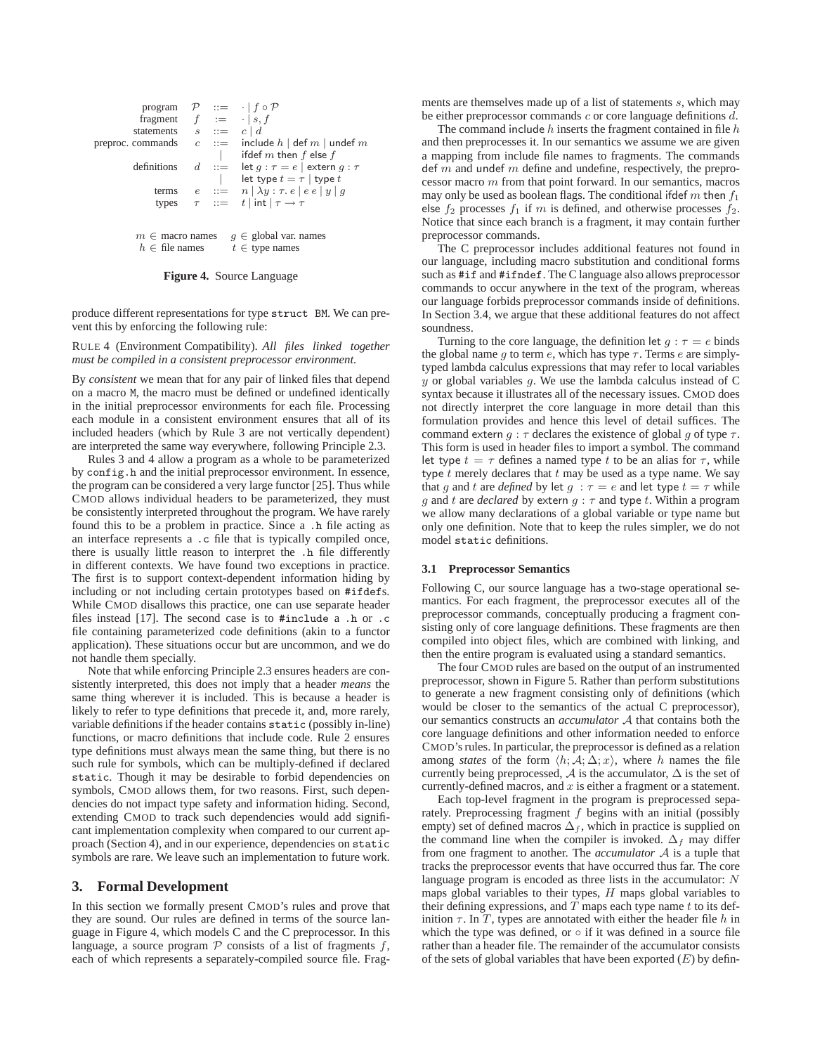```
program \mathcal{P} ::= · | f \circ \mathcal{P}fragment f := \cdot | s, fstatements s ::= c | dpreproc. commands c ::= include h | def m | undef m| ifdef m then f else fdefinitions d ::= \text{let } g : \tau = e \mid \text{extern } g : \tau| let type t = \tau | type tterms e ::= n | \lambda y : \tau. e | e e | y | gtypes \tau ::= t \mid \text{int} \mid \tau \to \taum \in \text{macro names} \quad g \in \text{global var. names}h \in \text{file names} t \in \text{type names}
```
**Figure 4.** Source Language

produce different representations for type struct BM. We can prevent this by enforcing the following rule:

RULE 4 (Environment Compatibility). *All files linked together must be compiled in a consistent preprocessor environment.*

By *consistent* we mean that for any pair of linked files that depend on a macro M, the macro must be defined or undefined identically in the initial preprocessor environments for each file. Processing each module in a consistent environment ensures that all of its included headers (which by Rule 3 are not vertically dependent) are interpreted the same way everywhere, following Principle 2.3.

Rules 3 and 4 allow a program as a whole to be parameterized by config.h and the initial preprocessor environment. In essence, the program can be considered a very large functor [25]. Thus while CMOD allows individual headers to be parameterized, they must be consistently interpreted throughout the program. We have rarely found this to be a problem in practice. Since a .h file acting as an interface represents a .c file that is typically compiled once, there is usually little reason to interpret the .h file differently in different contexts. We have found two exceptions in practice. The first is to support context-dependent information hiding by including or not including certain prototypes based on #ifdefs. While CMOD disallows this practice, one can use separate header files instead [17]. The second case is to #include a .h or .c file containing parameterized code definitions (akin to a functor application). These situations occur but are uncommon, and we do not handle them specially.

Note that while enforcing Principle 2.3 ensures headers are consistently interpreted, this does not imply that a header *means* the same thing wherever it is included. This is because a header is likely to refer to type definitions that precede it, and, more rarely, variable definitions if the header contains static (possibly in-line) functions, or macro definitions that include code. Rule 2 ensures type definitions must always mean the same thing, but there is no such rule for symbols, which can be multiply-defined if declared static. Though it may be desirable to forbid dependencies on symbols, CMOD allows them, for two reasons. First, such dependencies do not impact type safety and information hiding. Second, extending CMOD to track such dependencies would add significant implementation complexity when compared to our current approach (Section 4), and in our experience, dependencies on static symbols are rare. We leave such an implementation to future work.

# **3. Formal Development**

In this section we formally present CMOD's rules and prove that they are sound. Our rules are defined in terms of the source language in Figure 4, which models C and the C preprocessor. In this language, a source program  $P$  consists of a list of fragments  $f$ , each of which represents a separately-compiled source file. Fragments are themselves made up of a list of statements s, which may be either preprocessor commands  $c$  or core language definitions  $d$ .

The command include  $h$  inserts the fragment contained in file  $h$ and then preprocesses it. In our semantics we assume we are given a mapping from include file names to fragments. The commands def  $m$  and undef  $m$  define and undefine, respectively, the preprocessor macro m from that point forward. In our semantics, macros may only be used as boolean flags. The conditional ifdef  $m$  then  $f_1$ else  $f_2$  processes  $f_1$  if m is defined, and otherwise processes  $f_2$ . Notice that since each branch is a fragment, it may contain further preprocessor commands.

The C preprocessor includes additional features not found in our language, including macro substitution and conditional forms such as #if and #ifndef. The C language also allows preprocessor commands to occur anywhere in the text of the program, whereas our language forbids preprocessor commands inside of definitions. In Section 3.4, we argue that these additional features do not affect soundness.

Turning to the core language, the definition let  $q : \tau = e$  binds the global name q to term e, which has type  $\tau$ . Terms e are simplytyped lambda calculus expressions that may refer to local variables  $y$  or global variables  $g$ . We use the lambda calculus instead of C syntax because it illustrates all of the necessary issues. CMOD does not directly interpret the core language in more detail than this formulation provides and hence this level of detail suffices. The command extern  $q : \tau$  declares the existence of global g of type  $\tau$ . This form is used in header files to import a symbol. The command let type  $t = \tau$  defines a named type t to be an alias for  $\tau$ , while type  $t$  merely declares that  $t$  may be used as a type name. We say that g and t are *defined* by let  $g : \tau = e$  and let type  $t = \tau$  while g and t are *declared* by extern  $g : \tau$  and type t. Within a program we allow many declarations of a global variable or type name but only one definition. Note that to keep the rules simpler, we do not model static definitions.

#### **3.1 Preprocessor Semantics**

Following C, our source language has a two-stage operational semantics. For each fragment, the preprocessor executes all of the preprocessor commands, conceptually producing a fragment consisting only of core language definitions. These fragments are then compiled into object files, which are combined with linking, and then the entire program is evaluated using a standard semantics.

The four CMOD rules are based on the output of an instrumented preprocessor, shown in Figure 5. Rather than perform substitutions to generate a new fragment consisting only of definitions (which would be closer to the semantics of the actual C preprocessor), our semantics constructs an *accumulator* A that contains both the core language definitions and other information needed to enforce CMOD's rules. In particular, the preprocessor is defined as a relation among *states* of the form  $\langle h; \mathcal{A}; \Delta; x \rangle$ , where h names the file currently being preprocessed,  $\mathcal A$  is the accumulator,  $\Delta$  is the set of currently-defined macros, and  $x$  is either a fragment or a statement.

Each top-level fragment in the program is preprocessed separately. Preprocessing fragment  $f$  begins with an initial (possibly empty) set of defined macros  $\Delta_f$ , which in practice is supplied on the command line when the compiler is invoked.  $\Delta_f$  may differ from one fragment to another. The *accumulator* A is a tuple that tracks the preprocessor events that have occurred thus far. The core language program is encoded as three lists in the accumulator: N maps global variables to their types,  $H$  maps global variables to their defining expressions, and  $\overline{T}$  maps each type name  $t$  to its definition  $\tau$ . In T, types are annotated with either the header file h in which the type was defined, or  $\circ$  if it was defined in a source file rather than a header file. The remainder of the accumulator consists of the sets of global variables that have been exported  $(E)$  by defin-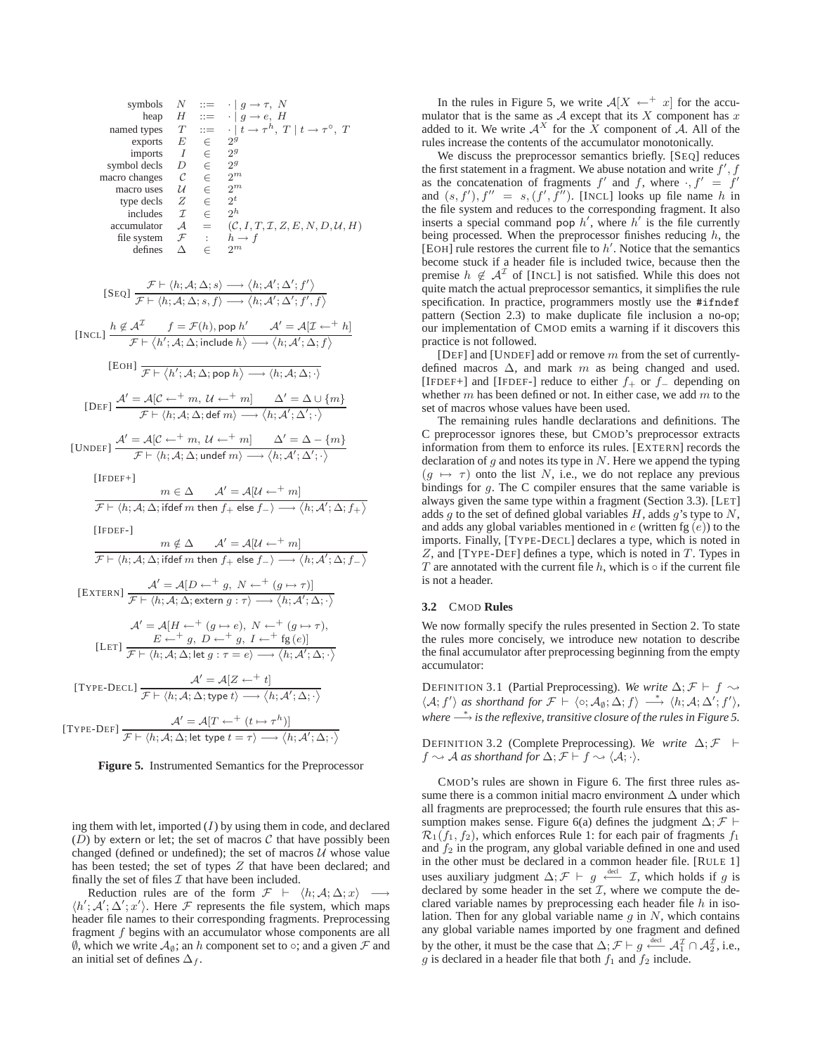$$
\begin{array}{llllllll} \text{ symbols} & N & ::= & \cdot \text{ } \mid g \rightarrow \tau, \ N \\ & \text{heap} & H & ::= & \cdot \text{ } \mid g \rightarrow e, \ H \\ \text{named types} & T & ::= & \cdot \text{ } \mid t \rightarrow \tau^h, \ T \mid t \rightarrow \tau^\circ, \ T \\ & \text{exports} & E & \in & 2^g \\ & \text{imports} & I & \in & 2^g \\ & \text{smooth } I & \in & 2^g \\ \text{symbol fields} & D & \in & 2^m \\ & \text{macro changes} & C & \in & 2^m \\ & \text{trace uses} & U & \in & 2^h \\ & \text{include} & Z & \in & 2^t \\ & \text{accumulate} & A & = & (C, I, T, \mathcal{I}, Z, E, N, D, \mathcal{U}, H) \\ & \text{file system} & \mathcal{F} & : & h \rightarrow f \\ & \text{define} & \Delta & \in & 2^m \end{array}
$$

$$
[SEQ] \frac{\mathcal{F} \vdash \langle h; A; \Delta; s \rangle \longrightarrow \langle h; A'; \Delta'; f' \rangle}{\mathcal{F} \vdash \langle h; A; \Delta; s, f \rangle \longrightarrow \langle h; A'; \Delta'; f', f \rangle}
$$
\n
$$
[INCL] \frac{h \notin A^{\mathcal{I}} \qquad f = \mathcal{F}(h), \text{pop } h' \qquad A' = A[\mathcal{I} \leftarrow^+ h]}{\mathcal{F} \vdash \langle h'; A; \Delta; \text{include } h \rangle \longrightarrow \langle h; A'; \Delta; f \rangle}
$$
\n
$$
[EOH] \frac{\mathcal{F} \vdash \langle h'; A; \Delta; \text{pop } h \rangle \longrightarrow \langle h; A; \Delta; \cdot \rangle}{\mathcal{F} \vdash \langle h'; A; \Delta; \text{pop } h \rangle \longrightarrow \langle h; A; \Delta; \cdot \rangle}
$$
\n
$$
[DEF] \frac{\mathcal{A}' = A[\mathcal{C} \leftarrow^+ m, \mathcal{U} \leftarrow^+ m]}{\mathcal{F} \vdash \langle h; A; \Delta; \text{def } m \rangle \longrightarrow \langle h; A'; \Delta'; \cdot \rangle}
$$
\n
$$
[UNDEF] \frac{\mathcal{A}' = A[\mathcal{C} \leftarrow^+ m, \mathcal{U} \leftarrow^+ m]}{\mathcal{F} \vdash \langle h; A; \Delta; \text{under } m \rangle \longrightarrow \langle h; A'; \Delta'; \cdot \rangle}
$$

 $[IPDEF+]$ 

 $\Gamma$ 

$$
m \in \Delta \qquad \mathcal{A}' = \mathcal{A}[\mathcal{U} \leftarrow^+ m]
$$
\n
$$
\mathcal{F} \vdash \langle h; \mathcal{A}; \Delta; \text{ifdef } m \text{ then } f_+ \text{ else } f_- \rangle \longrightarrow \langle h; \mathcal{A}'; \Delta; f_+ \rangle
$$
\n[IFDEF-]  
\n
$$
m \notin \Delta \qquad \mathcal{A}' = \mathcal{A}[\mathcal{U} \leftarrow^+ m]
$$
\n
$$
\mathcal{F} \vdash \langle h; \mathcal{A}; \Delta; \text{ifdef } m \text{ then } f_+ \text{ else } f_- \rangle \longrightarrow \langle h; \mathcal{A}'; \Delta; f_- \rangle
$$
\n[EXTERN] 
$$
\frac{\mathcal{A}' = \mathcal{A}[D \leftarrow^+ g, N \leftarrow^+ (g \mapsto \tau)]}{\mathcal{F} \vdash \langle h; \mathcal{A}; \Delta; \text{ extern } g : \tau \rangle \longrightarrow \langle h; \mathcal{A}'; \Delta; \cdot \rangle}
$$
\n
$$
\mathcal{A}' = \mathcal{A}[H \leftarrow^+ (g \mapsto e), N \leftarrow^+ (g \mapsto \tau),
$$
\n[LET] 
$$
\frac{E \leftarrow^+ g, D \leftarrow^+ g, I \leftarrow^+ f \text{g}(e)]}{\mathcal{F} \vdash \langle h; \mathcal{A}; \Delta; \text{let } g : \tau = e \rangle \longrightarrow \langle h; \mathcal{A}'; \Delta; \cdot \rangle}
$$
\n[TYPE-DECL] 
$$
\frac{\mathcal{A}' = \mathcal{A}[Z \leftarrow^+ t]}{\mathcal{F} \vdash \langle h; \mathcal{A}; \Delta; \text{type } t \rangle \longrightarrow \langle h; \mathcal{A}'; \Delta; \cdot \rangle}
$$
\n[TYPE-DEF] 
$$
\frac{\mathcal{A}' = \mathcal{A}[T \leftarrow^+ (t \mapsto \tau^h)]}{\mathcal{F} \vdash \langle h; \mathcal{A}; \Delta; \text{let type } t = \tau \rangle \longrightarrow \langle h; \mathcal{A}'; \Delta; \cdot \rangle}
$$

#### **Figure 5.** Instrumented Semantics for the Preprocessor

ing them with let, imported  $(I)$  by using them in code, and declared (D) by extern or let; the set of macros  $C$  that have possibly been changed (defined or undefined); the set of macros  $U$  whose value has been tested; the set of types  $Z$  that have been declared; and finally the set of files  $\mathcal I$  that have been included.

Reduction rules are of the form  $\mathcal{F} \vdash \langle h; \mathcal{A}; \Delta; x \rangle$  −  $\langle h'; \mathcal{A}'; \Delta'; x' \rangle$ . Here  $\mathcal F$  represents the file system, which maps header file names to their corresponding fragments. Preprocessing fragment f begins with an accumulator whose components are all  $\emptyset$ , which we write  $\mathcal{A}_{\emptyset}$ ; an h component set to ○; and a given  $\mathcal{F}$  and an initial set of defines  $\Delta_f$ .

In the rules in Figure 5, we write  $A[X \leftarrow^{+} x]$  for the accumulator that is the same as  $A$  except that its  $X$  component has  $x$ added to it. We write  $A^X$  for the X component of  $\mathcal A$ . All of the rules increase the contents of the accumulator monotonically.

We discuss the preprocessor semantics briefly. [SEQ] reduces the first statement in a fragment. We abuse notation and write  $f'$ ,  $f$ as the concatenation of fragments  $f'$  and f, where  $\cdot$ ,  $f' = f'$ and  $(s, f'), f'' = s, (f', \tilde{f}'').$  [INCL] looks up file name h in the file system and reduces to the corresponding fragment. It also inserts a special command pop  $h'$ , where  $h'$  is the file currently being processed. When the preprocessor finishes reducing  $h$ , the [EOH] rule restores the current file to  $h'$ . Notice that the semantics become stuck if a header file is included twice, because then the premise  $h \notin \mathcal{A}^{\mathcal{I}}$  of [INCL] is not satisfied. While this does not quite match the actual preprocessor semantics, it simplifies the rule specification. In practice, programmers mostly use the #ifndef pattern (Section 2.3) to make duplicate file inclusion a no-op; our implementation of CMOD emits a warning if it discovers this practice is not followed.

[DEF] and [UNDEF] add or remove  $m$  from the set of currentlydefined macros  $\Delta$ , and mark m as being changed and used. [IFDEF+] and [IFDEF-] reduce to either  $f_+$  or  $f_-$  depending on whether  $m$  has been defined or not. In either case, we add  $m$  to the set of macros whose values have been used.

The remaining rules handle declarations and definitions. The C preprocessor ignores these, but CMOD's preprocessor extracts information from them to enforce its rules. [EXTERN] records the declaration of  $g$  and notes its type in  $N$ . Here we append the typing  $(q \mapsto \tau)$  onto the list N, i.e., we do not replace any previous bindings for g. The C compiler ensures that the same variable is always given the same type within a fragment (Section 3.3). [LET] adds  $g$  to the set of defined global variables  $H$ , adds  $g$ 's type to  $N$ , and adds any global variables mentioned in  $e$  (written fg  $(e)$ ) to the imports. Finally, [TYPE-DECL] declares a type, which is noted in  $Z$ , and [TYPE-DEF] defines a type, which is noted in  $T$ . Types in T are annotated with the current file  $h$ , which is  $\circ$  if the current file is not a header.

#### **3.2** CMOD **Rules**

We now formally specify the rules presented in Section 2. To state the rules more concisely, we introduce new notation to describe the final accumulator after preprocessing beginning from the empty accumulator:

DEFINITION 3.1 (Partial Preprocessing). We write  $\Delta; \mathcal{F} \vdash f \rightsquigarrow$  $\langle A; f' \rangle$  as shorthand for  $\mathcal{F} \vdash \langle \circ, \mathcal{A}_{\emptyset}; \Delta; f \rangle \stackrel{*}{\longrightarrow} \langle h; A; \Delta'; f' \rangle$ , *where*  $→$  *is the reflexive, transitive closure of the rules in Figure 5.* 

DEFINITION 3.2 (Complete Preprocessing). *We write* ∆; F ⊢  $f \rightsquigarrow A$  *as shorthand for*  $\Delta; \mathcal{F} \vdash f \rightsquigarrow \langle A; \cdot \rangle$ *.* 

CMOD's rules are shown in Figure 6. The first three rules assume there is a common initial macro environment  $\Delta$  under which all fragments are preprocessed; the fourth rule ensures that this assumption makes sense. Figure 6(a) defines the judgment  $\Delta; \mathcal{F} \vdash$  $\mathcal{R}_1(f_1, f_2)$ , which enforces Rule 1: for each pair of fragments  $f_1$ and  $f_2$  in the program, any global variable defined in one and used in the other must be declared in a common header file. [RULE 1] uses auxiliary judgment  $\Delta; \mathcal{F} \vdash g \stackrel{\text{decl}}{\longleftarrow} \mathcal{I}$ , which holds if g is declared by some header in the set  $\mathcal{I}$ , where we compute the declared variable names by preprocessing each header file  $h$  in isolation. Then for any global variable name  $g$  in  $N$ , which contains any global variable names imported by one fragment and defined by the other, it must be the case that  $\Delta; \mathcal{F} \vdash g \stackrel{\text{decl}}{\longleftarrow} \mathcal{A}_1^{\mathcal{I}} \cap \mathcal{A}_2^{\mathcal{I}}$ , i.e.,  $g$  is declared in a header file that both  $f_1$  and  $f_2$  include.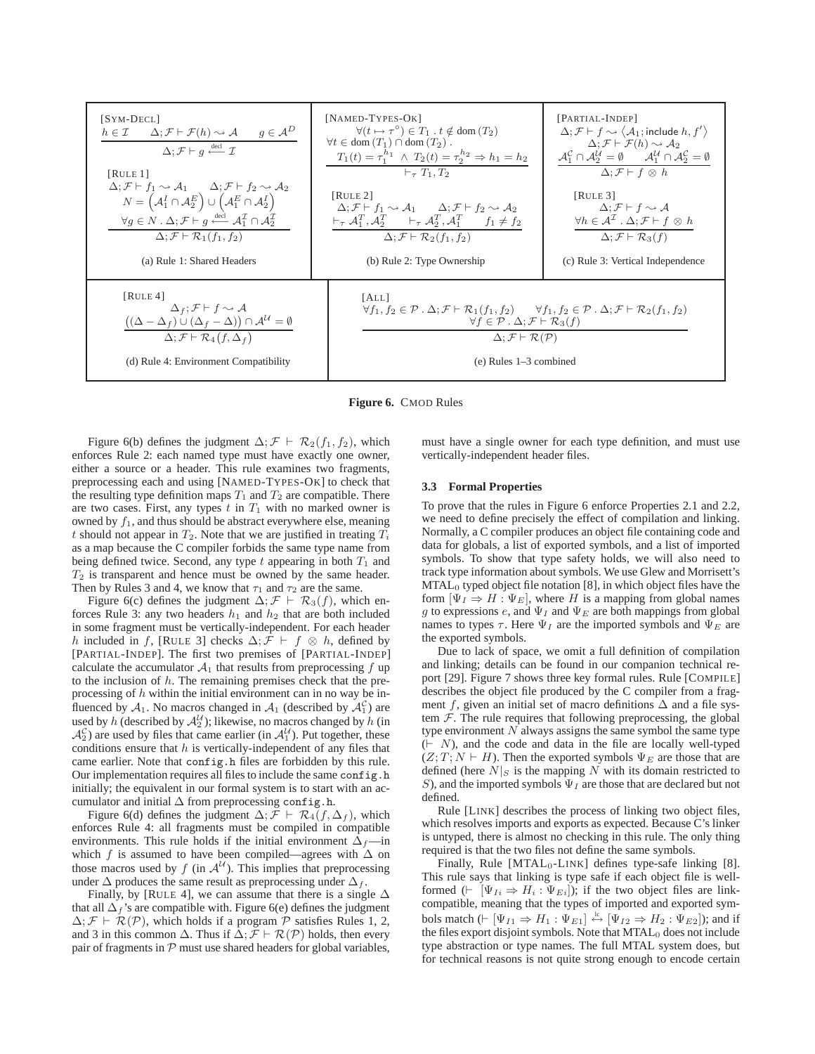

**Figure 6.** CMOD Rules

Figure 6(b) defines the judgment  $\Delta; \mathcal{F} \vdash \mathcal{R}_2(f_1, f_2)$ , which enforces Rule 2: each named type must have exactly one owner, either a source or a header. This rule examines two fragments, preprocessing each and using [NAMED-TYPES-OK] to check that the resulting type definition maps  $T_1$  and  $T_2$  are compatible. There are two cases. First, any types  $t$  in  $T_1$  with no marked owner is owned by  $f_1$ , and thus should be abstract everywhere else, meaning t should not appear in  $T_2$ . Note that we are justified in treating  $T_i$ as a map because the C compiler forbids the same type name from being defined twice. Second, any type  $t$  appearing in both  $T_1$  and  $T_2$  is transparent and hence must be owned by the same header. Then by Rules 3 and 4, we know that  $\tau_1$  and  $\tau_2$  are the same.

Figure 6(c) defines the judgment  $\Delta$ ;  $\mathcal{F} \vdash \mathcal{R}_3(f)$ , which enforces Rule 3: any two headers  $h_1$  and  $h_2$  that are both included in some fragment must be vertically-independent. For each header h included in f, [RULE 3] checks  $\Delta; \mathcal{F} \vdash f \otimes h$ , defined by [PARTIAL-INDEP]. The first two premises of [PARTIAL-INDEP] calculate the accumulator  $A_1$  that results from preprocessing f up to the inclusion of  $h$ . The remaining premises check that the preprocessing of h within the initial environment can in no way be influenced by  $A_1$ . No macros changed in  $A_1$  (described by  $A_1^C$ ) are used by h (described by  $\mathcal{A}_2^{\mathcal{U}}$ ); likewise, no macros changed by h (in  $\mathcal{A}_2^{\mathcal{C}}$  are used by files that came earlier (in  $\mathcal{A}_1^{\mathcal{U}}$ ). Put together, these conditions ensure that  $h$  is vertically-independent of any files that came earlier. Note that config.h files are forbidden by this rule. Our implementation requires all files to include the same config.h initially; the equivalent in our formal system is to start with an accumulator and initial  $\Delta$  from preprocessing config.h.

Figure 6(d) defines the judgment  $\Delta$ ;  $\mathcal{F} \vdash \mathcal{R}_4(f, \Delta_f)$ , which enforces Rule 4: all fragments must be compiled in compatible environments. This rule holds if the initial environment  $\overline{\Delta}_f$ —in which f is assumed to have been compiled—agrees with  $\Delta$  on those macros used by  $f$  (in  $\mathcal{A}^{\mathcal{U}}$ ). This implies that preprocessing under  $\Delta$  produces the same result as preprocessing under  $\Delta_f$ .

Finally, by [RULE 4], we can assume that there is a single  $\Delta$ that all  $\Delta_f$ 's are compatible with. Figure 6(e) defines the judgment  $\Delta; \mathcal{F} \vdash \mathcal{R}(\mathcal{P})$ , which holds if a program  $\mathcal{P}$  satisfies Rules 1, 2, and 3 in this common  $\Delta$ . Thus if  $\Delta$ ;  $\bar{\mathcal{F}} \vdash \mathcal{R}(\mathcal{P})$  holds, then every pair of fragments in  $P$  must use shared headers for global variables,

must have a single owner for each type definition, and must use vertically-independent header files.

#### **3.3 Formal Properties**

To prove that the rules in Figure 6 enforce Properties 2.1 and 2.2, we need to define precisely the effect of compilation and linking. Normally, a C compiler produces an object file containing code and data for globals, a list of exported symbols, and a list of imported symbols. To show that type safety holds, we will also need to track type information about symbols. We use Glew and Morrisett's  $MTAL<sub>0</sub>$  typed object file notation [8], in which object files have the form  $[\Psi_I \Rightarrow H : \Psi_E]$ , where H is a mapping from global names g to expressions e, and  $\Psi_I$  and  $\Psi_E$  are both mappings from global names to types  $\tau$ . Here  $\Psi_I$  are the imported symbols and  $\Psi_E$  are the exported symbols.

Due to lack of space, we omit a full definition of compilation and linking; details can be found in our companion technical report [29]. Figure 7 shows three key formal rules. Rule [COMPILE] describes the object file produced by the C compiler from a fragment f, given an initial set of macro definitions  $\Delta$  and a file system  $\mathcal F$ . The rule requires that following preprocessing, the global type environment  $N$  always assigns the same symbol the same type (⊢ N), and the code and data in the file are locally well-typed  $(Z; T; N \vdash H)$ . Then the exported symbols  $\Psi_E$  are those that are defined (here  $N|_S$  is the mapping N with its domain restricted to S), and the imported symbols  $\Psi_I$  are those that are declared but not defined.

Rule [LINK] describes the process of linking two object files, which resolves imports and exports as expected. Because C's linker is untyped, there is almost no checking in this rule. The only thing required is that the two files not define the same symbols.

Finally, Rule  $[MTAL_0-LINK]$  defines type-safe linking [8]. This rule says that linking is type safe if each object file is wellformed ( $\vdash$  [ $\Psi_{I_i} \Rightarrow H_i : \Psi_{E_i}$ ]); if the two object files are linkcompatible, meaning that the types of imported and exported symbols match  $(\vdash [\Psi_{I1} \Rightarrow H_1 : \Psi_{E1}] \stackrel{\text{lc}}{\leftrightarrow} [\Psi_{I2} \Rightarrow H_2 : \Psi_{E2}])$ ; and if the files export disjoint symbols. Note that MTAL<sub>0</sub> does not include type abstraction or type names. The full MTAL system does, but for technical reasons is not quite strong enough to encode certain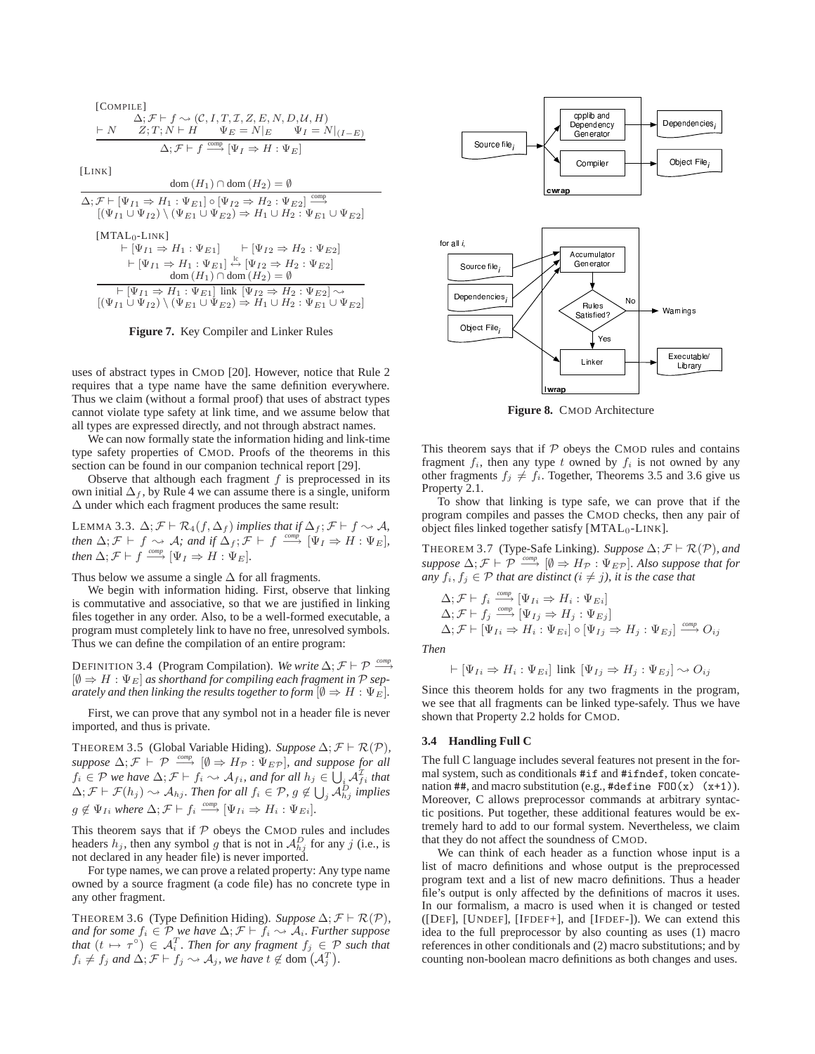[COMPILE]  
\n
$$
\Delta; \mathcal{F} \vdash f \sim (\mathcal{C}, I, T, \mathcal{I}, Z, E, N, D, \mathcal{U}, H)
$$
\n
$$
\vdash N \quad Z; T; N \vdash H \quad \Psi_E = N|_E \quad \Psi_I = N|_{(I-E)}
$$
\n
$$
\Delta; \mathcal{F} \vdash f \xrightarrow{\text{comp}} [\Psi_I \Rightarrow H : \Psi_E]
$$
\n[LINK]  
\n
$$
\text{dom}(H_1) \cap \text{dom}(H_2) = \emptyset
$$
\n
$$
\Delta; \mathcal{F} \vdash [\Psi_{I1} \Rightarrow H_1 : \Psi_{E1}] \circ [\Psi_{I2} \Rightarrow H_2 : \Psi_{E2}] \xrightarrow{\text{comp}}
$$
\n
$$
[(\Psi_{I1} \cup \Psi_{I2}) \setminus (\Psi_{E1} \cup \Psi_{E2}) \Rightarrow H_1 \cup H_2 : \Psi_{E1} \cup \Psi_{E2}]
$$
\n[MTAL<sub>0</sub>-LINK]  
\n
$$
\vdash [\Psi_{I1} \Rightarrow H_1 : \Psi_{E1}] \quad \vdash [\Psi_{I2} \Rightarrow H_2 : \Psi_{E2}]
$$
\n
$$
\vdash [\Psi_{I1} \Rightarrow H_1 : \Psi_{E1}] \xrightarrow{\text{im}} [\Psi_{I2} \Rightarrow H_2 : \Psi_{E2}]
$$
\n
$$
\text{dom}(H_1) \cap \text{dom}(H_2) = \emptyset
$$
\n
$$
\vdash [\Psi_{I1} \Rightarrow H_1 : \Psi_{E1}] \text{ link } [\Psi_{I2} \Rightarrow H_2 : \Psi_{E2}] \leadsto
$$
\n
$$
[(\Psi_{I1} \cup \Psi_{I2}) \setminus (\Psi_{E1} \cup \Psi_{E2}) \Rightarrow H_1 \cup H_2 : \Psi_{E1} \cup \Psi_{E2}]
$$

**Figure 7.** Key Compiler and Linker Rules

uses of abstract types in CMOD [20]. However, notice that Rule 2 requires that a type name have the same definition everywhere. Thus we claim (without a formal proof) that uses of abstract types cannot violate type safety at link time, and we assume below that all types are expressed directly, and not through abstract names.

We can now formally state the information hiding and link-time type safety properties of CMOD. Proofs of the theorems in this section can be found in our companion technical report [29].

Observe that although each fragment  $f$  is preprocessed in its own initial  $\Delta_f$ , by Rule 4 we can assume there is a single, uniform ∆ under which each fragment produces the same result:

LEMMA 3.3.  $\Delta; \mathcal{F} \vdash \mathcal{R}_4(f, \Delta_f)$  *implies that if*  $\Delta_f; \mathcal{F} \vdash f \leadsto \mathcal{A}$ *, then*  $\Delta; \mathcal{F} \vdash f \sim \mathcal{A}$ *; and if*  $\Delta_f; \mathcal{F} \vdash f \stackrel{comp}{\longrightarrow} [\Psi_I \Rightarrow H : \Psi_E]$ *, then*  $\Delta; \mathcal{F} \vdash f \stackrel{comp}{\longrightarrow} [\Psi_I \Rightarrow H : \Psi_E].$ 

Thus below we assume a single  $\Delta$  for all fragments.

We begin with information hiding. First, observe that linking is commutative and associative, so that we are justified in linking files together in any order. Also, to be a well-formed executable, a program must completely link to have no free, unresolved symbols. Thus we can define the compilation of an entire program:

DEFINITION 3.4 (Program Compilation). We write  $\Delta$ ;  $\mathcal{F} \vdash \mathcal{P} \xrightarrow{comp}$  $[\emptyset \Rightarrow H : \Psi_E]$  *as shorthand for compiling each fragment in*  $\mathcal P$  *separately and then linking the results together to form*  $[\emptyset \Rightarrow H : \Psi_E]$ .

First, we can prove that any symbol not in a header file is never imported, and thus is private.

THEOREM 3.5 (Global Variable Hiding). *Suppose*  $\Delta$ ;  $\mathcal{F} \vdash \mathcal{R}(\mathcal{P})$ *,*  $suppose \Delta; \mathcal{F} \vdash \mathcal{P} \stackrel{comp}{\longrightarrow} [\emptyset \Rightarrow H_{\mathcal{P}} : \Psi_{E\mathcal{P}}]$ *, and suppose for all*  $f_i \in \mathcal{P}$  we have  $\Delta; \mathcal{F} \vdash f_i \leadsto \mathcal{A}_{fi}$ , and for all  $h_j \in \bigcup_i \mathcal{A}_{fi}^{\mathcal{I}}$  that  $\Delta;\mathcal{F}\vdash\mathcal{F}(h_j)\sim\mathcal{A}_{hj}.$  Then for all  $f_i\in\mathcal{P},$   $g\not\in\bigcup_j\tilde{\mathcal{A}}_{hj}^D$  implies  $g \notin \Psi_{Ii}$  where  $\Delta; \mathcal{F} \vdash f_i \stackrel{comp}{\longrightarrow} [\Psi_{Ii} \Rightarrow H_i : \Psi_{Ei}].$ 

This theorem says that if  $P$  obeys the CMOD rules and includes headers  $h_j$ , then any symbol g that is not in  $\mathcal{A}_{hj}^D$  for any j (i.e., is not declared in any header file) is never imported.

For type names, we can prove a related property: Any type name owned by a source fragment (a code file) has no concrete type in any other fragment.

THEOREM 3.6 (Type Definition Hiding). *Suppose*  $\Delta$ ;  $\mathcal{F} \vdash \mathcal{R}(\mathcal{P})$ *, and for some*  $f_i$  ∈  $\overline{P}$  *we have*  $\Delta$ ;  $\mathcal{F} \vdash f_i \sim \overline{A_i}$ *. Further suppose that*  $(t \mapsto \tau^{\circ}) \in A_i^T$ . Then for any fragment  $f_j \in \mathcal{P}$  such that  $f_i \neq f_j$  and  $\Delta; \mathcal{F} \vdash f_j \leadsto \mathcal{A}_j$ , we have  $t \not\in \text{dom}(\mathcal{A}_j^T)$ .



**Figure 8.** CMOD Architecture

This theorem says that if  $P$  obeys the CMOD rules and contains fragment  $f_i$ , then any type t owned by  $f_i$  is not owned by any other fragments  $f_j \neq f_i$ . Together, Theorems 3.5 and 3.6 give us Property 2.1.

To show that linking is type safe, we can prove that if the program compiles and passes the CMOD checks, then any pair of object files linked together satisfy [MTAL0-LINK].

THEOREM 3.7 (Type-Safe Linking). *Suppose*  $\Delta$ ;  $\mathcal{F} \vdash \mathcal{R}(\mathcal{P})$ *, and*  $suppose \Delta; \mathcal{F} \vdash \mathcal{P} \stackrel{comp}{\longrightarrow} [\emptyset \Rightarrow H_{\mathcal{P}} : \Psi_{E\mathcal{P}}]$ *. Also suppose that for any*  $f_i, f_j \in \mathcal{P}$  *that are distinct*  $(i \neq j)$ *, it is the case that* 

$$
\Delta; \mathcal{F} \vdash f_i \xrightarrow{comp} [\Psi_{Ii} \Rightarrow H_i : \Psi_{Ei}]
$$
  
\n
$$
\Delta; \mathcal{F} \vdash f_j \xrightarrow{comp} [\Psi_{Ij} \Rightarrow H_j : \Psi_{Ej}]
$$
  
\n
$$
\Delta; \mathcal{F} \vdash [\Psi_{Ii} \Rightarrow H_i : \Psi_{Ei}] \circ [\Psi_{Ij} \Rightarrow H_j : \Psi_{Ej}] \xrightarrow{comp} O_{ij}
$$

*Then*

$$
\vdash [\Psi_{Ii} \Rightarrow H_i : \Psi_{Ei}] \text{ link } [\Psi_{Ij} \Rightarrow H_j : \Psi_{Ej}] \sim O_{ij}
$$

Since this theorem holds for any two fragments in the program, we see that all fragments can be linked type-safely. Thus we have shown that Property 2.2 holds for CMOD.

# **3.4 Handling Full C**

The full C language includes several features not present in the formal system, such as conditionals #if and #ifndef, token concatenation ##, and macro substitution (e.g., #define  $F00(x)$   $(x+1)$ ). Moreover, C allows preprocessor commands at arbitrary syntactic positions. Put together, these additional features would be extremely hard to add to our formal system. Nevertheless, we claim that they do not affect the soundness of CMOD.

We can think of each header as a function whose input is a list of macro definitions and whose output is the preprocessed program text and a list of new macro definitions. Thus a header file's output is only affected by the definitions of macros it uses. In our formalism, a macro is used when it is changed or tested ([DEF], [UNDEF], [IFDEF+], and [IFDEF-]). We can extend this idea to the full preprocessor by also counting as uses (1) macro references in other conditionals and (2) macro substitutions; and by counting non-boolean macro definitions as both changes and uses.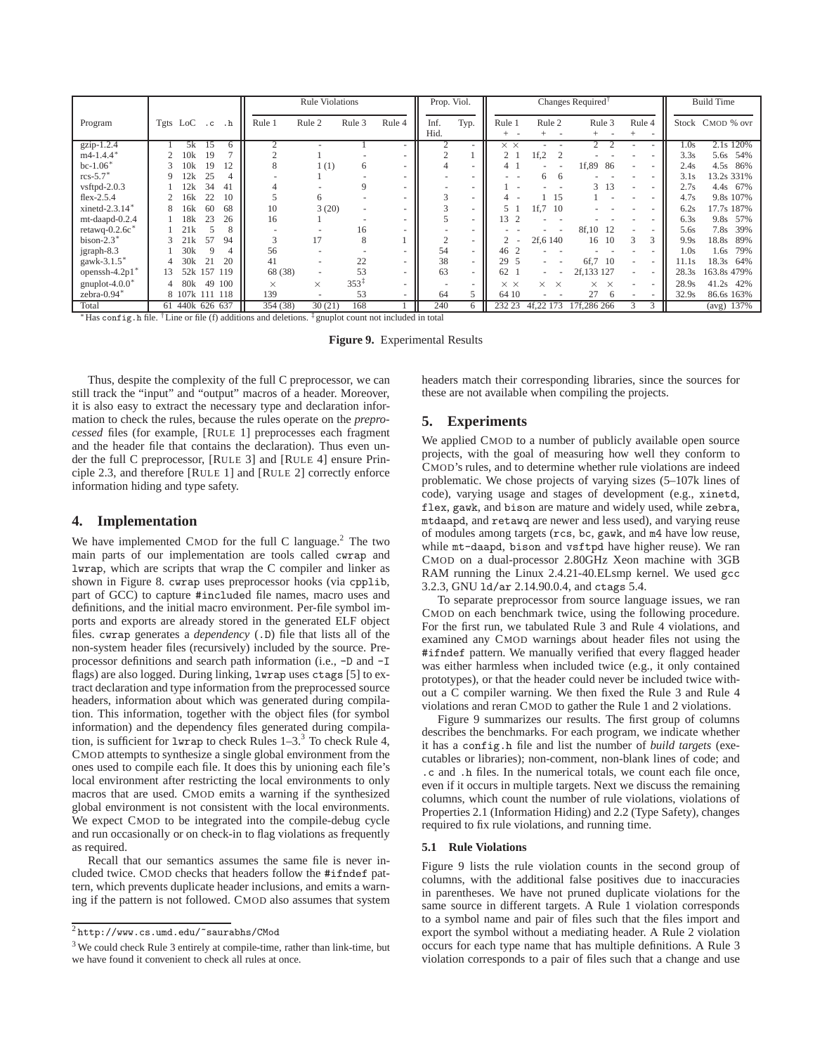|                               |                                | <b>Rule Violations</b> |          |                     | Prop. Viol.              |                | Changes Required <sup>†</sup> |                                              |                                           |                   |                                              | <b>Build Time</b> |                  |
|-------------------------------|--------------------------------|------------------------|----------|---------------------|--------------------------|----------------|-------------------------------|----------------------------------------------|-------------------------------------------|-------------------|----------------------------------------------|-------------------|------------------|
| Program                       | Loc<br>Tgts<br>.h<br>$\cdot$ C | Rule 1                 | Rule 2   | Rule 3              | Rule 4                   | Inf.<br>Hid.   | Typ.                          | Rule 1<br>$^{+}$<br>$\overline{\phantom{a}}$ | Rule 2<br>$+$<br>$\overline{\phantom{a}}$ | Rule 3<br>$^{+}$  | Rule 4<br>$^{+}$<br>$\overline{\phantom{a}}$ |                   | Stock CMOD % ovr |
| gzip-1.2.4                    | 5k<br>15<br>6                  |                        |          |                     |                          |                | ۰                             | $\times~\times$                              |                                           |                   |                                              | 1.0s              | 2.1s 120%        |
| $m4-1.4.4*$                   | 10k<br>19                      |                        |          |                     | $\overline{\phantom{a}}$ |                |                               |                                              | lf.2                                      |                   |                                              | 3.3s              | 5.6s<br>54%      |
| $bc-1.06*$                    | 12<br>10k<br>19                | 8                      | 1(1)     | 6                   | $\sim$                   |                |                               | $4-1$                                        |                                           | 1f,89<br>86       |                                              | 2.4s              | 4.5s<br>86%      |
| $rcs-5.7*$                    | 12k<br>25<br>4                 |                        |          |                     | $\sim$                   |                |                               |                                              | 6<br>6                                    |                   |                                              | 3.1s              | 13.2s 331%       |
| $v$ sftpd-2.0.3               | 34<br>12k<br>-41               |                        |          | 9                   | $\sim$                   |                |                               | ٠.                                           |                                           | 3<br>13           | ۰                                            | 2.7s              | 4.4s<br>67%      |
| $flex-2.5.4$                  | 22<br>10<br>16k                |                        | 6        |                     | $\overline{\phantom{a}}$ | 3              | ۰                             | 4                                            | 15                                        |                   |                                              | 4.7s              | 9.8s 107%        |
| xinetd- $2.3.14*$             | 68<br>60<br>16k                | 10                     | 3(20)    |                     | $\sim$                   | 3              |                               | 5                                            | 1f.7<br>10                                |                   |                                              | 6.2s              | 17.7s 187%       |
| mt-daapd-0.2.4                | 18k<br>23<br>26                | 16                     |          |                     | -                        |                |                               | 13 2                                         |                                           |                   |                                              | 6.3s              | 9.8s<br>57%      |
| retawq- $0.2.6c$ <sup>*</sup> | 8<br>21k                       |                        |          | 16                  | $\sim$                   |                |                               |                                              |                                           | 8f.10 12          |                                              | 5.6s              | 7.8s<br>39%      |
| $bison-2.3*$                  | 57<br>21k<br>94                | 3                      | 17       | 8                   |                          | $\overline{2}$ |                               | $\overline{\phantom{a}}$                     | 2f, 6 140                                 | 16 10             | 3<br>3                                       | 9.9s              | 18.8s<br>89%     |
| jgraph-8.3                    | 30k<br>$\mathbf Q$<br>4        | 56                     |          |                     | $\overline{\phantom{a}}$ | 54             | ۰                             | 46 2                                         |                                           |                   |                                              | 1.0s              | 79%<br>1.6s      |
| $gawk-3.1.5*$                 | 30k<br>21<br>20                | 41                     |          | 22                  | $\sim$                   | 38             | ٠                             | 29 5                                         |                                           | 6f,7<br>10        | $\sim$<br>٠                                  | 11.1s             | 18.3s<br>64%     |
| openssh-4.2p1 $*$             | 52k<br>157 119<br>13           | 68 (38)                |          | 53                  | $\sim$                   | 63             | ۰                             | 62 1                                         | $\sim$<br>$\overline{\phantom{a}}$        | 2f,133 127        | ۰                                            | 28.3s             | 163.8s 479%      |
| gnuplot- $4.0.0*$             | 49 100<br>80k                  | $\times$               | $\times$ | $353^{\frac{1}{2}}$ | $\sim$                   |                |                               | $\times$ $\times$                            | $\times$<br>$\times$                      | $\times$ $\times$ | ۰                                            | 28.9s             | 41.2s<br>42%     |
| zebra- $0.94*$                | 8 107k 111 118                 | 139                    | ٠        | 53                  | $\sim$                   | 64             |                               | 64 10                                        |                                           | 27<br>6           | $\overline{\phantom{a}}$                     | 32.9s             | 86.6s 163%       |
| Total                         | 440k 626 637<br>61             | 354 (38)               | 30(21)   | 168                 |                          | 240            | 6                             | 232 23                                       | 4f, 22 173                                | 17f,286 266       | 3<br>3                                       |                   | (avg) $137\%$    |

<sup>∗</sup>Has config.h file. †Line or file (f) additions and deletions. ‡ gnuplot count not included in total

**Figure 9.** Experimental Results

Thus, despite the complexity of the full C preprocessor, we can still track the "input" and "output" macros of a header. Moreover, it is also easy to extract the necessary type and declaration information to check the rules, because the rules operate on the *preprocessed* files (for example, [RULE 1] preprocesses each fragment and the header file that contains the declaration). Thus even under the full C preprocessor, [RULE 3] and [RULE 4] ensure Principle 2.3, and therefore [RULE 1] and [RULE 2] correctly enforce information hiding and type safety.

#### **4. Implementation**

We have implemented CMOD for the full C language.<sup>2</sup> The two main parts of our implementation are tools called cwrap and lwrap, which are scripts that wrap the C compiler and linker as shown in Figure 8. cwrap uses preprocessor hooks (via cpplib, part of GCC) to capture #included file names, macro uses and definitions, and the initial macro environment. Per-file symbol imports and exports are already stored in the generated ELF object files. cwrap generates a *dependency* (.D) file that lists all of the non-system header files (recursively) included by the source. Preprocessor definitions and search path information (i.e., -D and -I flags) are also logged. During linking, lwrap uses ctags [5] to extract declaration and type information from the preprocessed source headers, information about which was generated during compilation. This information, together with the object files (for symbol information) and the dependency files generated during compilation, is sufficient for  $l$  wrap to check Rules  $1-3<sup>3</sup>$  To check Rule 4, CMOD attempts to synthesize a single global environment from the ones used to compile each file. It does this by unioning each file's local environment after restricting the local environments to only macros that are used. CMOD emits a warning if the synthesized global environment is not consistent with the local environments. We expect CMOD to be integrated into the compile-debug cycle and run occasionally or on check-in to flag violations as frequently as required.

Recall that our semantics assumes the same file is never included twice. CMOD checks that headers follow the #ifndef pattern, which prevents duplicate header inclusions, and emits a warning if the pattern is not followed. CMOD also assumes that system headers match their corresponding libraries, since the sources for these are not available when compiling the projects.

## **5. Experiments**

We applied CMOD to a number of publicly available open source projects, with the goal of measuring how well they conform to CMOD's rules, and to determine whether rule violations are indeed problematic. We chose projects of varying sizes (5–107k lines of code), varying usage and stages of development (e.g., xinetd, flex, gawk, and bison are mature and widely used, while zebra, mtdaapd, and retawq are newer and less used), and varying reuse of modules among targets (rcs, bc, gawk, and m4 have low reuse, while mt-daapd, bison and vsftpd have higher reuse). We ran CMOD on a dual-processor 2.80GHz Xeon machine with 3GB RAM running the Linux 2.4.21-40.ELsmp kernel. We used gcc 3.2.3, GNU ld/ar 2.14.90.0.4, and ctags 5.4.

To separate preprocessor from source language issues, we ran CMOD on each benchmark twice, using the following procedure. For the first run, we tabulated Rule 3 and Rule 4 violations, and examined any CMOD warnings about header files not using the #ifndef pattern. We manually verified that every flagged header was either harmless when included twice (e.g., it only contained prototypes), or that the header could never be included twice without a C compiler warning. We then fixed the Rule 3 and Rule 4 violations and reran CMOD to gather the Rule 1 and 2 violations.

Figure 9 summarizes our results. The first group of columns describes the benchmarks. For each program, we indicate whether it has a config.h file and list the number of *build targets* (executables or libraries); non-comment, non-blank lines of code; and .c and .h files. In the numerical totals, we count each file once, even if it occurs in multiple targets. Next we discuss the remaining columns, which count the number of rule violations, violations of Properties 2.1 (Information Hiding) and 2.2 (Type Safety), changes required to fix rule violations, and running time.

# **5.1 Rule Violations**

Figure 9 lists the rule violation counts in the second group of columns, with the additional false positives due to inaccuracies in parentheses. We have not pruned duplicate violations for the same source in different targets. A Rule 1 violation corresponds to a symbol name and pair of files such that the files import and export the symbol without a mediating header. A Rule 2 violation occurs for each type name that has multiple definitions. A Rule 3 violation corresponds to a pair of files such that a change and use

 $^{2}$ http://www.cs.umd.edu/~saurabhs/CMod

<sup>3</sup> We could check Rule 3 entirely at compile-time, rather than link-time, but we have found it convenient to check all rules at once.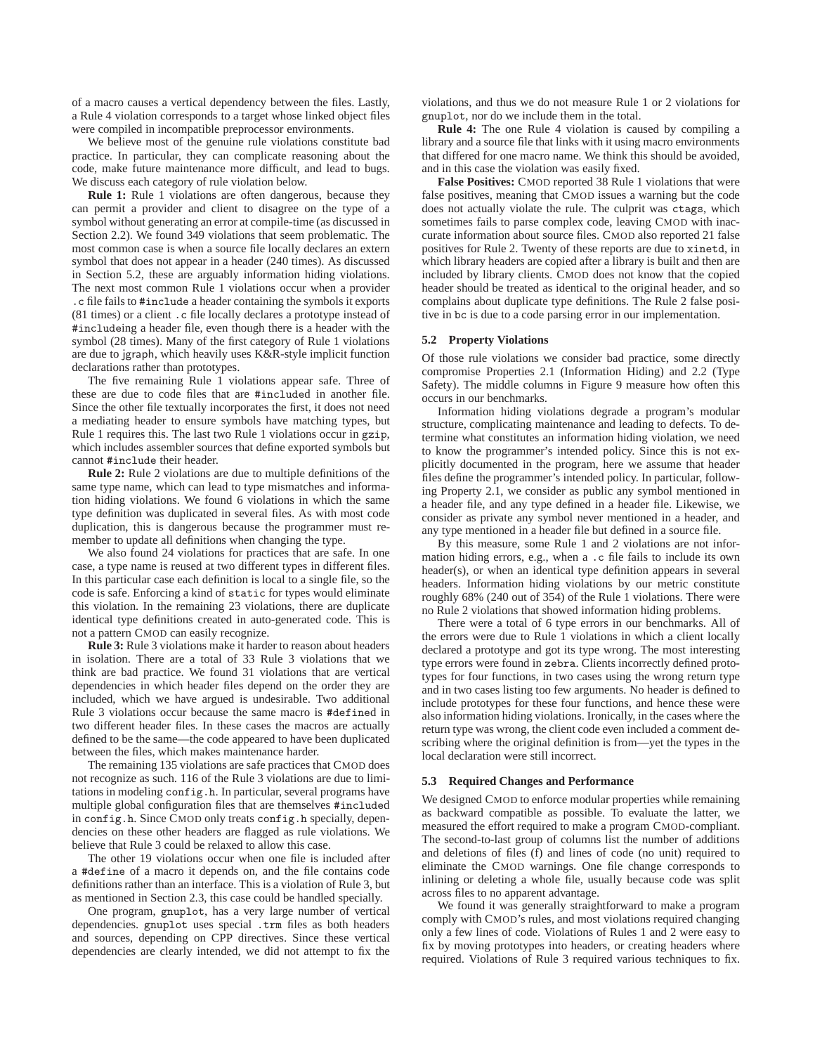of a macro causes a vertical dependency between the files. Lastly, a Rule 4 violation corresponds to a target whose linked object files were compiled in incompatible preprocessor environments.

We believe most of the genuine rule violations constitute bad practice. In particular, they can complicate reasoning about the code, make future maintenance more difficult, and lead to bugs. We discuss each category of rule violation below.

**Rule 1:** Rule 1 violations are often dangerous, because they can permit a provider and client to disagree on the type of a symbol without generating an error at compile-time (as discussed in Section 2.2). We found 349 violations that seem problematic. The most common case is when a source file locally declares an extern symbol that does not appear in a header (240 times). As discussed in Section 5.2, these are arguably information hiding violations. The next most common Rule 1 violations occur when a provider .c file fails to #include a header containing the symbols it exports (81 times) or a client .c file locally declares a prototype instead of #includeing a header file, even though there is a header with the symbol (28 times). Many of the first category of Rule 1 violations are due to jgraph, which heavily uses K&R-style implicit function declarations rather than prototypes.

The five remaining Rule 1 violations appear safe. Three of these are due to code files that are #included in another file. Since the other file textually incorporates the first, it does not need a mediating header to ensure symbols have matching types, but Rule 1 requires this. The last two Rule 1 violations occur in gzip, which includes assembler sources that define exported symbols but cannot #include their header.

**Rule 2:** Rule 2 violations are due to multiple definitions of the same type name, which can lead to type mismatches and information hiding violations. We found 6 violations in which the same type definition was duplicated in several files. As with most code duplication, this is dangerous because the programmer must remember to update all definitions when changing the type.

We also found 24 violations for practices that are safe. In one case, a type name is reused at two different types in different files. In this particular case each definition is local to a single file, so the code is safe. Enforcing a kind of static for types would eliminate this violation. In the remaining 23 violations, there are duplicate identical type definitions created in auto-generated code. This is not a pattern CMOD can easily recognize.

**Rule 3:** Rule 3 violations make it harder to reason about headers in isolation. There are a total of 33 Rule 3 violations that we think are bad practice. We found 31 violations that are vertical dependencies in which header files depend on the order they are included, which we have argued is undesirable. Two additional Rule 3 violations occur because the same macro is #defined in two different header files. In these cases the macros are actually defined to be the same—the code appeared to have been duplicated between the files, which makes maintenance harder.

The remaining 135 violations are safe practices that CMOD does not recognize as such. 116 of the Rule 3 violations are due to limitations in modeling config.h. In particular, several programs have multiple global configuration files that are themselves #included in config.h. Since CMOD only treats config.h specially, dependencies on these other headers are flagged as rule violations. We believe that Rule 3 could be relaxed to allow this case.

The other 19 violations occur when one file is included after a #define of a macro it depends on, and the file contains code definitions rather than an interface. This is a violation of Rule 3, but as mentioned in Section 2.3, this case could be handled specially.

One program, gnuplot, has a very large number of vertical dependencies. gnuplot uses special .trm files as both headers and sources, depending on CPP directives. Since these vertical dependencies are clearly intended, we did not attempt to fix the

violations, and thus we do not measure Rule 1 or 2 violations for gnuplot, nor do we include them in the total.

**Rule 4:** The one Rule 4 violation is caused by compiling a library and a source file that links with it using macro environments that differed for one macro name. We think this should be avoided, and in this case the violation was easily fixed.

**False Positives:** CMOD reported 38 Rule 1 violations that were false positives, meaning that CMOD issues a warning but the code does not actually violate the rule. The culprit was ctags, which sometimes fails to parse complex code, leaving CMOD with inaccurate information about source files. CMOD also reported 21 false positives for Rule 2. Twenty of these reports are due to xinetd, in which library headers are copied after a library is built and then are included by library clients. CMOD does not know that the copied header should be treated as identical to the original header, and so complains about duplicate type definitions. The Rule 2 false positive in bc is due to a code parsing error in our implementation.

#### **5.2 Property Violations**

Of those rule violations we consider bad practice, some directly compromise Properties 2.1 (Information Hiding) and 2.2 (Type Safety). The middle columns in Figure 9 measure how often this occurs in our benchmarks.

Information hiding violations degrade a program's modular structure, complicating maintenance and leading to defects. To determine what constitutes an information hiding violation, we need to know the programmer's intended policy. Since this is not explicitly documented in the program, here we assume that header files define the programmer's intended policy. In particular, following Property 2.1, we consider as public any symbol mentioned in a header file, and any type defined in a header file. Likewise, we consider as private any symbol never mentioned in a header, and any type mentioned in a header file but defined in a source file.

By this measure, some Rule 1 and 2 violations are not information hiding errors, e.g., when a .c file fails to include its own header(s), or when an identical type definition appears in several headers. Information hiding violations by our metric constitute roughly 68% (240 out of 354) of the Rule 1 violations. There were no Rule 2 violations that showed information hiding problems.

There were a total of 6 type errors in our benchmarks. All of the errors were due to Rule 1 violations in which a client locally declared a prototype and got its type wrong. The most interesting type errors were found in zebra. Clients incorrectly defined prototypes for four functions, in two cases using the wrong return type and in two cases listing too few arguments. No header is defined to include prototypes for these four functions, and hence these were also information hiding violations. Ironically, in the cases where the return type was wrong, the client code even included a comment describing where the original definition is from—yet the types in the local declaration were still incorrect.

#### **5.3 Required Changes and Performance**

We designed CMOD to enforce modular properties while remaining as backward compatible as possible. To evaluate the latter, we measured the effort required to make a program CMOD-compliant. The second-to-last group of columns list the number of additions and deletions of files (f) and lines of code (no unit) required to eliminate the CMOD warnings. One file change corresponds to inlining or deleting a whole file, usually because code was split across files to no apparent advantage.

We found it was generally straightforward to make a program comply with CMOD's rules, and most violations required changing only a few lines of code. Violations of Rules 1 and 2 were easy to fix by moving prototypes into headers, or creating headers where required. Violations of Rule 3 required various techniques to fix.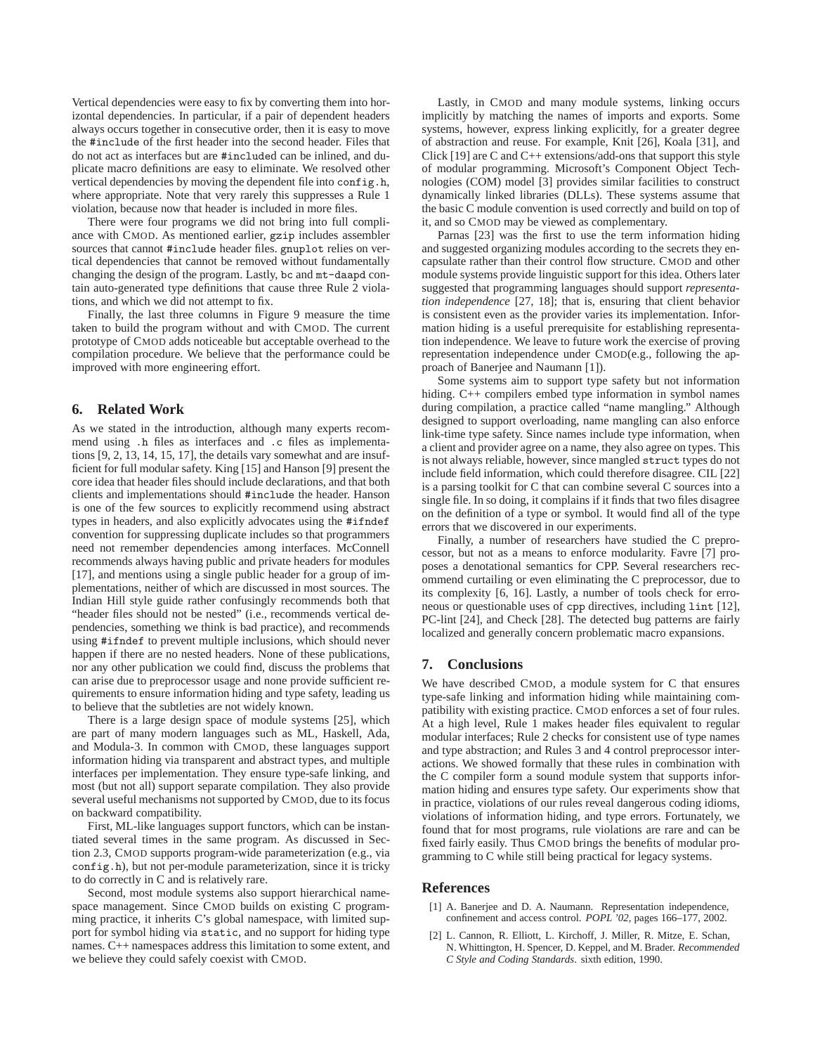Vertical dependencies were easy to fix by converting them into horizontal dependencies. In particular, if a pair of dependent headers always occurs together in consecutive order, then it is easy to move the #include of the first header into the second header. Files that do not act as interfaces but are #included can be inlined, and duplicate macro definitions are easy to eliminate. We resolved other vertical dependencies by moving the dependent file into config.h, where appropriate. Note that very rarely this suppresses a Rule 1 violation, because now that header is included in more files.

There were four programs we did not bring into full compliance with CMOD. As mentioned earlier, gzip includes assembler sources that cannot #include header files. gnuplot relies on vertical dependencies that cannot be removed without fundamentally changing the design of the program. Lastly, bc and mt-daapd contain auto-generated type definitions that cause three Rule 2 violations, and which we did not attempt to fix.

Finally, the last three columns in Figure 9 measure the time taken to build the program without and with CMOD. The current prototype of CMOD adds noticeable but acceptable overhead to the compilation procedure. We believe that the performance could be improved with more engineering effort.

# **6. Related Work**

As we stated in the introduction, although many experts recommend using .h files as interfaces and .c files as implementations [9, 2, 13, 14, 15, 17], the details vary somewhat and are insufficient for full modular safety. King [15] and Hanson [9] present the core idea that header files should include declarations, and that both clients and implementations should #include the header. Hanson is one of the few sources to explicitly recommend using abstract types in headers, and also explicitly advocates using the #ifndef convention for suppressing duplicate includes so that programmers need not remember dependencies among interfaces. McConnell recommends always having public and private headers for modules [17], and mentions using a single public header for a group of implementations, neither of which are discussed in most sources. The Indian Hill style guide rather confusingly recommends both that "header files should not be nested" (i.e., recommends vertical dependencies, something we think is bad practice), and recommends using #ifndef to prevent multiple inclusions, which should never happen if there are no nested headers. None of these publications, nor any other publication we could find, discuss the problems that can arise due to preprocessor usage and none provide sufficient requirements to ensure information hiding and type safety, leading us to believe that the subtleties are not widely known.

There is a large design space of module systems [25], which are part of many modern languages such as ML, Haskell, Ada, and Modula-3. In common with CMOD, these languages support information hiding via transparent and abstract types, and multiple interfaces per implementation. They ensure type-safe linking, and most (but not all) support separate compilation. They also provide several useful mechanisms not supported by CMOD, due to its focus on backward compatibility.

First, ML-like languages support functors, which can be instantiated several times in the same program. As discussed in Section 2.3, CMOD supports program-wide parameterization (e.g., via config.h), but not per-module parameterization, since it is tricky to do correctly in C and is relatively rare.

Second, most module systems also support hierarchical namespace management. Since CMOD builds on existing C programming practice, it inherits C's global namespace, with limited support for symbol hiding via static, and no support for hiding type names. C++ namespaces address this limitation to some extent, and we believe they could safely coexist with CMOD.

Lastly, in CMOD and many module systems, linking occurs implicitly by matching the names of imports and exports. Some systems, however, express linking explicitly, for a greater degree of abstraction and reuse. For example, Knit [26], Koala [31], and Click [19] are C and C++ extensions/add-ons that support this style of modular programming. Microsoft's Component Object Technologies (COM) model [3] provides similar facilities to construct dynamically linked libraries (DLLs). These systems assume that the basic C module convention is used correctly and build on top of it, and so CMOD may be viewed as complementary.

Parnas [23] was the first to use the term information hiding and suggested organizing modules according to the secrets they encapsulate rather than their control flow structure. CMOD and other module systems provide linguistic support for this idea. Others later suggested that programming languages should support *representation independence* [27, 18]; that is, ensuring that client behavior is consistent even as the provider varies its implementation. Information hiding is a useful prerequisite for establishing representation independence. We leave to future work the exercise of proving representation independence under CMOD(e.g., following the approach of Banerjee and Naumann [1]).

Some systems aim to support type safety but not information hiding. C++ compilers embed type information in symbol names during compilation, a practice called "name mangling." Although designed to support overloading, name mangling can also enforce link-time type safety. Since names include type information, when a client and provider agree on a name, they also agree on types. This is not always reliable, however, since mangled struct types do not include field information, which could therefore disagree. CIL [22] is a parsing toolkit for C that can combine several C sources into a single file. In so doing, it complains if it finds that two files disagree on the definition of a type or symbol. It would find all of the type errors that we discovered in our experiments.

Finally, a number of researchers have studied the C preprocessor, but not as a means to enforce modularity. Favre [7] proposes a denotational semantics for CPP. Several researchers recommend curtailing or even eliminating the C preprocessor, due to its complexity [6, 16]. Lastly, a number of tools check for erroneous or questionable uses of cpp directives, including lint [12], PC-lint [24], and Check [28]. The detected bug patterns are fairly localized and generally concern problematic macro expansions.

## **7. Conclusions**

We have described CMOD, a module system for C that ensures type-safe linking and information hiding while maintaining compatibility with existing practice. CMOD enforces a set of four rules. At a high level, Rule 1 makes header files equivalent to regular modular interfaces; Rule 2 checks for consistent use of type names and type abstraction; and Rules 3 and 4 control preprocessor interactions. We showed formally that these rules in combination with the C compiler form a sound module system that supports information hiding and ensures type safety. Our experiments show that in practice, violations of our rules reveal dangerous coding idioms, violations of information hiding, and type errors. Fortunately, we found that for most programs, rule violations are rare and can be fixed fairly easily. Thus CMOD brings the benefits of modular programming to C while still being practical for legacy systems.

#### **References**

- [1] A. Banerjee and D. A. Naumann. Representation independence, confinement and access control. *POPL '02*, pages 166–177, 2002.
- [2] L. Cannon, R. Elliott, L. Kirchoff, J. Miller, R. Mitze, E. Schan, N. Whittington, H. Spencer, D. Keppel, and M. Brader. *Recommended C Style and Coding Standards*. sixth edition, 1990.